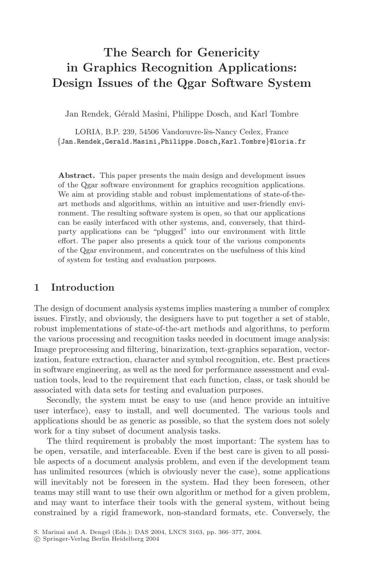# **The Search for Genericity in Graphics Recognition Applications: Design Issues of the Qgar Software System**

Jan Rendek, Gérald Masini, Philippe Dosch, and Karl Tombre

LORIA, B.P. 239, 54506 Vandœuvre-lès-Nancy Cedex, France *{*Jan.Rendek,Gerald.Masini,Philippe.Dosch,Karl.Tombre*}*@loria.fr

**Abstract.** This paper presents the main design and development issues of the Qgar software environment for graphics recognition applications. We aim at providing stable and robust implementations of state-of-theart methods and algorithms, within an intuitive and user-friendly environment. The resulting software system is open, so that our applications can be easily interfaced with other systems, and, conversely, that thirdparty applications can be "plugged" into our environment with little effort. The paper also presents a quick tour of the various components of the Qgar environment, and concentrates on the usefulness of this kind of system for testing and evaluation purposes.

### **1 Introduction**

The design of document analysis systems implies mastering a number of complex issues. Firstly, and obviously, the designers have to put together a set of stable, robust implementations of state-of-the-art methods and algorithms, to perform the various processing and recognition tasks needed in document image analysis: Image preprocessing and filtering, binarization, text-graphics separation, vectorization, feature extraction, character and symbol recognition, etc. Best practices in software engineering, as well as the need for performance assessment and evaluation tools, lead to the requirement that each function, class, or task should be associated with data sets for testing and evaluation purposes.

Secondly, the system must be easy to use (and hence provide an intuitive user interface), easy to install, and well documented. The various tools and applications should be as generic as possible, so that the system does not solely work for a tiny subset of document analysis tasks.

The third requirement is probably the most important: The system has to be open, versatile, and interfaceable. Even if the best care is given to all possible aspects of a document analysis problem, and even if the development team has unlimited resources (which is obviously never the case), some applications will inevitably not be foreseen in the system. Had they been foreseen, other teams may still want to use their own algorithm or method for a given problem, and may want to interface their tools with the general system, without being constrained by a rigid framework, non-standard formats, etc. Conversely, the

c Springer-Verlag Berlin Heidelberg 2004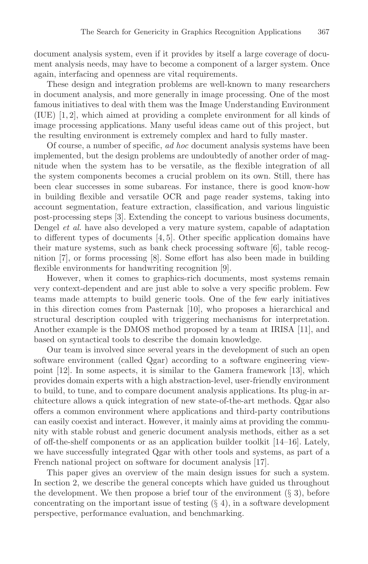document analysis system, even if it provides by itself a large coverage of document analysis needs, may have to become a component of a larger system. Once again, interfacing and openness are vital requirements.

These design and integration problems are well-known to many researchers in document analysis, and more generally in image processing. One of the most famous initiatives to deal with them was the Image Understanding Environment (IUE) [1, 2], which aimed at providing a complete environment for all kinds of image processing applications. Many useful ideas came out of this project, but the resulting environment is extremely complex and hard to fully master.

Of course, a number of specific, *ad hoc* document analysis systems have been implemented, but the design problems are undoubtedly of another order of magnitude when the system has to be versatile, as the flexible integration of all the system components becomes a crucial problem on its own. Still, there has been clear successes in some subareas. For instance, there is good know-how in building flexible and versatile OCR and page reader systems, taking into account segmentation, feature extraction, classification, and various linguistic post-processing steps [3]. Extending the concept to various business documents, Dengel *et al.* have also developed a very mature system, capable of adaptation to different types of documents [4, 5]. Other specific application domains have their mature systems, such as bank check processing software [6], table recognition [7], or forms processing [8]. Some effort has also been made in building flexible environments for handwriting recognition [9].

However, when it comes to graphics-rich documents, most systems remain very context-dependent and are just able to solve a very specific problem. Few teams made attempts to build generic tools. One of the few early initiatives in this direction comes from Pasternak [10], who proposes a hierarchical and structural description coupled with triggering mechanisms for interpretation. Another example is the DMOS method proposed by a team at IRISA [11], and based on syntactical tools to describe the domain knowledge.

Our team is involved since several years in the development of such an open software environment (called Qgar) according to a software engineering viewpoint [12]. In some aspects, it is similar to the Gamera framework [13], which provides domain experts with a high abstraction-level, user-friendly environment to build, to tune, and to compare document analysis applications. Its plug-in architecture allows a quick integration of new state-of-the-art methods. Qgar also offers a common environment where applications and third-party contributions can easily coexist and interact. However, it mainly aims at providing the community with stable robust and generic document analysis methods, either as a set of off-the-shelf components or as an application builder toolkit [14–16]. Lately, we have successfully integrated Qgar with other tools and systems, as part of a French national project on software for document analysis [17].

This paper gives an overview of the main design issues for such a system. In section 2, we describe the general concepts which have guided us throughout the development. We then propose a brief tour of the environment (*§* 3), before concentrating on the important issue of testing (*§* 4), in a software development perspective, performance evaluation, and benchmarking.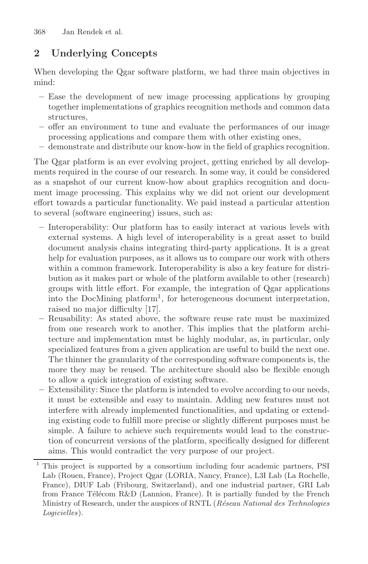## **2 Underlying Concepts**

When developing the Qgar software platform, we had three main objectives in mind:

- **–** Ease the development of new image processing applications by grouping together implementations of graphics recognition methods and common data structures,
- **–** offer an environment to tune and evaluate the performances of our image processing applications and compare them with other existing ones,
- **–** demonstrate and distribute our know-how in the field of graphics recognition.

The Qgar platform is an ever evolving project, getting enriched by all developments required in the course of our research. In some way, it could be considered as a snapshot of our current know-how about graphics recognition and document image processing. This explains why we did not orient our development effort towards a particular functionality. We paid instead a particular attention to several (software engineering) issues, such as:

- **–** Interoperability: Our platform has to easily interact at various levels with external systems. A high level of interoperability is a great asset to build document analysis chains integrating third-party applications. It is a great help for evaluation purposes, as it allows us to compare our work with others within a common framework. Interoperability is also a key feature for distribution as it makes part or whole of the platform available to other (research) groups with little effort. For example, the integration of Qgar applications into the DocMining platform<sup>1</sup>, for heterogeneous document interpretation, raised no major difficulty [17].
- **–** Reusability: As stated above, the software reuse rate must be maximized from one research work to another. This implies that the platform architecture and implementation must be highly modular, as, in particular, only specialized features from a given application are useful to build the next one. The thinner the granularity of the corresponding software components is, the more they may be reused. The architecture should also be flexible enough to allow a quick integration of existing software.
- **–** Extensibility: Since the platform is intended to evolve according to our needs, it must be extensible and easy to maintain. Adding new features must not interfere with already implemented functionalities, and updating or extending existing code to fulfill more precise or slightly different purposes must be simple. A failure to achieve such requirements would lead to the construction of concurrent versions of the platform, specifically designed for different aims. This would contradict the very purpose of our project.

<sup>&</sup>lt;sup>1</sup> This project is supported by a consortium including four academic partners, PSI Lab (Rouen, France), Project Qgar (LORIA, Nancy, France), L3I Lab (La Rochelle, France), DIUF Lab (Fribourg, Switzerland), and one industrial partner, GRI Lab from France Télécom  $R&D$  (Lannion, France). It is partially funded by the French Ministry of Research, under the auspices of RNTL (*R´eseau National des Technologies Logicielles*).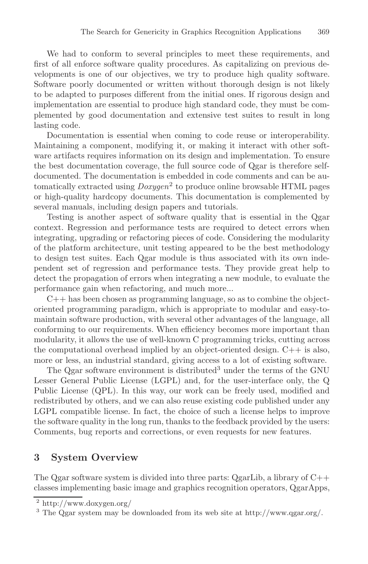We had to conform to several principles to meet these requirements, and first of all enforce software quality procedures. As capitalizing on previous developments is one of our objectives, we try to produce high quality software. Software poorly documented or written without thorough design is not likely to be adapted to purposes different from the initial ones. If rigorous design and implementation are essential to produce high standard code, they must be complemented by good documentation and extensive test suites to result in long lasting code.

Documentation is essential when coming to code reuse or interoperability. Maintaining a component, modifying it, or making it interact with other software artifacts requires information on its design and implementation. To ensure the best documentation coverage, the full source code of Qgar is therefore selfdocumented. The documentation is embedded in code comments and can be automatically extracted using *Doxygen*<sup>2</sup> to produce online browsable HTML pages or high-quality hardcopy documents. This documentation is complemented by several manuals, including design papers and tutorials.

Testing is another aspect of software quality that is essential in the Qgar context. Regression and performance tests are required to detect errors when integrating, upgrading or refactoring pieces of code. Considering the modularity of the platform architecture, unit testing appeared to be the best methodology to design test suites. Each Qgar module is thus associated with its own independent set of regression and performance tests. They provide great help to detect the propagation of errors when integrating a new module, to evaluate the performance gain when refactoring, and much more...

 $C++$  has been chosen as programming language, so as to combine the objectoriented programming paradigm, which is appropriate to modular and easy-tomaintain software production, with several other advantages of the language, all conforming to our requirements. When efficiency becomes more important than modularity, it allows the use of well-known C programming tricks, cutting across the computational overhead implied by an object-oriented design. C++ is also, more or less, an industrial standard, giving access to a lot of existing software.

The Qgar software environment is distributed<sup>3</sup> under the terms of the GNU Lesser General Public License (LGPL) and, for the user-interface only, the Q Public License (QPL). In this way, our work can be freely used, modified and redistributed by others, and we can also reuse existing code published under any LGPL compatible license. In fact, the choice of such a license helps to improve the software quality in the long run, thanks to the feedback provided by the users: Comments, bug reports and corrections, or even requests for new features.

### **3 System Overview**

The Qgar software system is divided into three parts: QgarLib, a library of  $C_{++}$ classes implementing basic image and graphics recognition operators, QgarApps,

 $^2$ http://www.doxygen.org/  $\,$ 

<sup>3</sup> The Qgar system may be downloaded from its web site at http://www.qgar.org/.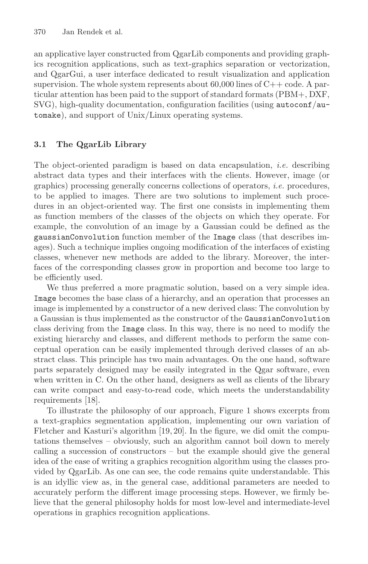an applicative layer constructed from QgarLib components and providing graphics recognition applications, such as text-graphics separation or vectorization, and QgarGui, a user interface dedicated to result visualization and application supervision. The whole system represents about  $60,000$  lines of  $C++$  code. A particular attention has been paid to the support of standard formats (PBM+, DXF, SVG), high-quality documentation, configuration facilities (using autoconf/automake), and support of Unix/Linux operating systems.

### **3.1 The QgarLib Library**

The object-oriented paradigm is based on data encapsulation, *i.e.* describing abstract data types and their interfaces with the clients. However, image (or graphics) processing generally concerns collections of operators, *i.e.* procedures, to be applied to images. There are two solutions to implement such procedures in an object-oriented way. The first one consists in implementing them as function members of the classes of the objects on which they operate. For example, the convolution of an image by a Gaussian could be defined as the gaussianConvolution function member of the Image class (that describes images). Such a technique implies ongoing modification of the interfaces of existing classes, whenever new methods are added to the library. Moreover, the interfaces of the corresponding classes grow in proportion and become too large to be efficiently used.

We thus preferred a more pragmatic solution, based on a very simple idea. Image becomes the base class of a hierarchy, and an operation that processes an image is implemented by a constructor of a new derived class: The convolution by a Gaussian is thus implemented as the constructor of the GaussianConvolution class deriving from the Image class. In this way, there is no need to modify the existing hierarchy and classes, and different methods to perform the same conceptual operation can be easily implemented through derived classes of an abstract class. This principle has two main advantages. On the one hand, software parts separately designed may be easily integrated in the Qgar software, even when written in C. On the other hand, designers as well as clients of the library can write compact and easy-to-read code, which meets the understandability requirements [18].

To illustrate the philosophy of our approach, Figure 1 shows excerpts from a text-graphics segmentation application, implementing our own variation of Fletcher and Kasturi's algorithm [19, 20]. In the figure, we did omit the computations themselves – obviously, such an algorithm cannot boil down to merely calling a succession of constructors – but the example should give the general idea of the ease of writing a graphics recognition algorithm using the classes provided by QgarLib. As one can see, the code remains quite understandable. This is an idyllic view as, in the general case, additional parameters are needed to accurately perform the different image processing steps. However, we firmly believe that the general philosophy holds for most low-level and intermediate-level operations in graphics recognition applications.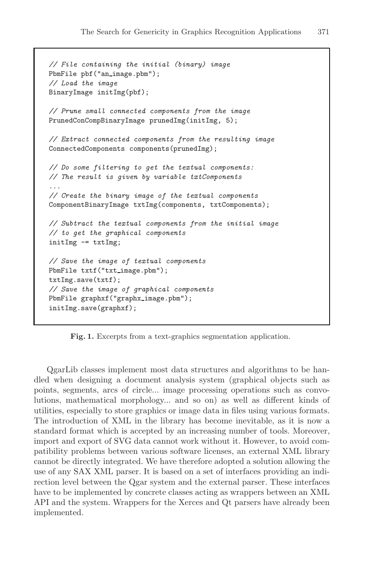```
// File containing the initial (binary) image
PbmFile pbf("an image.pbm");
// Load the image
BinaryImage initImg(pbf);
// Prune small connected components from the image
PrunedConCompBinaryImage prunedImg(initImg, 5);
// Extract connected components from the resulting image
ConnectedComponents components(prunedImg);
// Do some filtering to get the textual components:
// The result is given by variable txtComponents
...
// Create the binary image of the textual components
ComponentBinaryImage txtImg(components, txtComponents);
// Subtract the textual components from the initial image
// to get the graphical components
initImg -= txtImg;
// Save the image of textual components
PbmFile txtf("txt_image.pbm");
txtImg.save(txtf);
// Save the image of graphical components
PbmFile graphxf("graphx_image.pbm");
initImg.save(graphxf);
```
**Fig. 1.** Excerpts from a text-graphics segmentation application.

QgarLib classes implement most data structures and algorithms to be handled when designing a document analysis system (graphical objects such as points, segments, arcs of circle... image processing operations such as convolutions, mathematical morphology... and so on) as well as different kinds of utilities, especially to store graphics or image data in files using various formats. The introduction of XML in the library has become inevitable, as it is now a standard format which is accepted by an increasing number of tools. Moreover, import and export of SVG data cannot work without it. However, to avoid compatibility problems between various software licenses, an external XML library cannot be directly integrated. We have therefore adopted a solution allowing the use of any SAX XML parser. It is based on a set of interfaces providing an indirection level between the Qgar system and the external parser. These interfaces have to be implemented by concrete classes acting as wrappers between an XML API and the system. Wrappers for the Xerces and Qt parsers have already been implemented.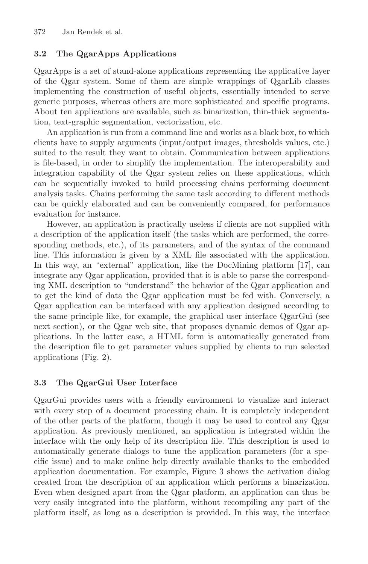#### **3.2 The QgarApps Applications**  $3.2$

QgarApps is a set of stand-alone applications representing the applicative layer of the Qgar system. Some of them are simple wrappings of QgarLib classes implementing the construction of useful objects, essentially intended to serve generic purposes, whereas others are more sophisticated and specific programs. About ten applications are available, such as binarization, thin-thick segmentation, text-graphic segmentation, vectorization, etc.

An application is run from a command line and works as a black box, to which clients have to supply arguments (input/output images, thresholds values, etc.) suited to the result they want to obtain. Communication between applications is file-based, in order to simplify the implementation. The interoperability and integration capability of the Qgar system relies on these applications, which can be sequentially invoked to build processing chains performing document analysis tasks. Chains performing the same task according to different methods can be quickly elaborated and can be conveniently compared, for performance evaluation for instance.

However, an application is practically useless if clients are not supplied with a description of the application itself (the tasks which are performed, the corresponding methods, etc.), of its parameters, and of the syntax of the command line. This information is given by a XML file associated with the application. In this way, an "external" application, like the DocMining platform [17], can integrate any Qgar application, provided that it is able to parse the corresponding XML description to "understand" the behavior of the Qgar application and to get the kind of data the Qgar application must be fed with. Conversely, a Qgar application can be interfaced with any application designed according to the same principle like, for example, the graphical user interface QgarGui (see next section), or the Qgar web site, that proposes dynamic demos of Qgar applications. In the latter case, a HTML form is automatically generated from the description file to get parameter values supplied by clients to run selected applications (Fig. 2).

### **3.3 The QgarGui User Interface**

QgarGui provides users with a friendly environment to visualize and interact with every step of a document processing chain. It is completely independent of the other parts of the platform, though it may be used to control any Qgar application. As previously mentioned, an application is integrated within the interface with the only help of its description file. This description is used to automatically generate dialogs to tune the application parameters (for a specific issue) and to make online help directly available thanks to the embedded application documentation. For example, Figure 3 shows the activation dialog created from the description of an application which performs a binarization. Even when designed apart from the Qgar platform, an application can thus be very easily integrated into the platform, without recompiling any part of the platform itself, as long as a description is provided. In this way, the interface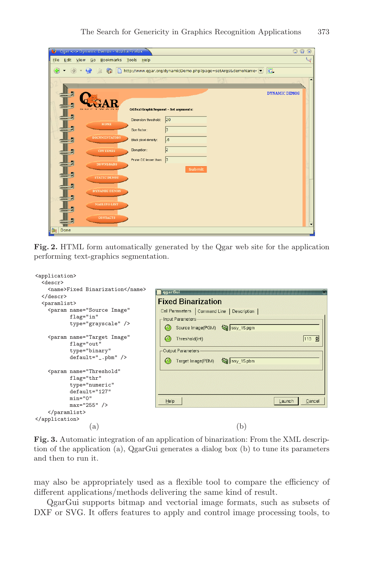| Qgar <-> Dynamic Demos - Mozilla Firefox<br>ω                    | $\odot$ $\odot$<br>$\overline{\mathbf{x}}$ |  |
|------------------------------------------------------------------|--------------------------------------------|--|
| Edit View Go Bookmarks Tools Help<br>Eile                        |                                            |  |
| http://www.qgar.org/dynamicDemo.php?page=setArgs&demoName= v     |                                            |  |
|                                                                  |                                            |  |
| <b>STATISTICS</b>                                                | <b>DYNAMIC DEMOS</b>                       |  |
|                                                                  |                                            |  |
| QGTextGraphicSegment - Set arguments:<br>$= 0$                   |                                            |  |
| <b>STERN P</b><br>20<br>Dimension threshold:                     |                                            |  |
| HOME<br>3<br>Size factor:                                        |                                            |  |
| <b>DOCUMENTATION</b>                                             |                                            |  |
| 1.6<br>Black pixel density:                                      |                                            |  |
| 12<br>Elongation:<br><b>CPUTIMES</b><br><b>CERTIFICATE CARDS</b> |                                            |  |
| Prune CC lesser than:<br>  <sub>3</sub><br><b>DOWNLOADS</b>      |                                            |  |
| Submit                                                           |                                            |  |
| <b>STATIC DEMOS</b>                                              |                                            |  |
| T<br><b>DYNAMIC DEMOS</b>                                        |                                            |  |
| <b>STATISTICS</b>                                                |                                            |  |
| <b>MAILING-LIST</b>                                              |                                            |  |
| <b>CONTACTS</b>                                                  |                                            |  |
| m                                                                |                                            |  |
| Done<br>$\overline{c}$                                           |                                            |  |

**Fig. 2.** HTML form automatically generated by the Qgar web site for the application performing text-graphics segmentation.

| <application></application>                                                                                   |                                                                                                        |
|---------------------------------------------------------------------------------------------------------------|--------------------------------------------------------------------------------------------------------|
| <descr></descr>                                                                                               |                                                                                                        |
| <name>Fixed Binarization</name>                                                                               | qgarGui                                                                                                |
| $\langle$ /descr>                                                                                             |                                                                                                        |
| <paramlist></paramlist>                                                                                       | <b>Fixed Binarization</b>                                                                              |
| <param <br="" name="Source Image"/> flag="in"<br>type="grayscale" />                                          | Call Parameters   Command Line   Description  <br>-Input Parameters-<br>Source Image(PGM) Sissy 15.pgm |
| <param <br="" name="Target Image"/> flag="out"<br>type="binary"<br>$default="_, pbm"$ />                      | 113 호<br>Threshold(int)<br>Output Parameters<br>Target Image(PBM) Sissy_15.pbm                         |
| <param <br="" name="Threshold"/> flag="thr"<br>type="numeric"<br>default="127"<br>$min="0"$<br>$max="255"$ /> | Cancel<br>Launch<br>Help                                                                               |
|                                                                                                               |                                                                                                        |
|                                                                                                               |                                                                                                        |
| a                                                                                                             | (b                                                                                                     |

**Fig. 3.** Automatic integration of an application of binarization: From the XML description of the application (a), QgarGui generates a dialog box (b) to tune its parameters and then to run it.

may also be appropriately used as a flexible tool to compare the efficiency of different applications/methods delivering the same kind of result.

QgarGui supports bitmap and vectorial image formats, such as subsets of DXF or SVG. It offers features to apply and control image processing tools, to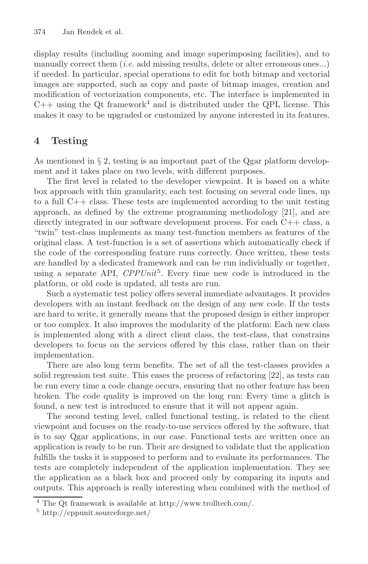display results (including zooming and image superimposing facilities), and to manually correct them (*i.e.* add missing results, delete or alter erroneous ones...) if needed. In particular, special operations to edit for both bitmap and vectorial images are supported, such as copy and paste of bitmap images, creation and modification of vectorization components, etc. The interface is implemented in  $C++$  using the Qt framework<sup>4</sup> and is distributed under the QPL license. This makes it easy to be upgraded or customized by anyone interested in its features.

### **4 Testing**

As mentioned in *§* 2, testing is an important part of the Qgar platform development and it takes place on two levels, with different purposes.

The first level is related to the developer viewpoint. It is based on a white box approach with thin granularity, each test focusing on several code lines, up to a full C++ class. These tests are implemented according to the unit testing approach, as defined by the extreme programming methodology [21], and are directly integrated in our software development process. For each C++ class, a "twin" test-class implements as many test-function members as features of the original class. A test-function is a set of assertions which automatically check if the code of the corresponding feature runs correctly. Once written, these tests are handled by a dedicated framework and can be run individually or together, using a separate API, *CPPUnit*<sup>5</sup>. Every time new code is introduced in the platform, or old code is updated, all tests are run.

Such a systematic test policy offers several immediate advantages. It provides developers with an instant feedback on the design of any new code. If the tests are hard to write, it generally means that the proposed design is either improper or too complex. It also improves the modularity of the platform: Each new class is implemented along with a direct client class, the test-class, that constrains developers to focus on the services offered by this class, rather than on their implementation.

There are also long term benefits. The set of all the test-classes provides a solid regression test suite. This eases the process of refactoring [22], as tests can be run every time a code change occurs, ensuring that no other feature has been broken. The code quality is improved on the long run: Every time a glitch is found, a new test is introduced to ensure that it will not appear again.

The second testing level, called functional testing, is related to the client viewpoint and focuses on the ready-to-use services offered by the software, that is to say Qgar applications, in our case. Functional tests are written once an application is ready to be run. Their are designed to validate that the application fulfills the tasks it is supposed to perform and to evaluate its performances. The tests are completely independent of the application implementation. They see the application as a black box and proceed only by comparing its inputs and outputs. This approach is really interesting when combined with the method of

 $^4$  The Qt framework is available at http://www.trolltech.com/.

<sup>5</sup> http://cppunit.sourceforge.net/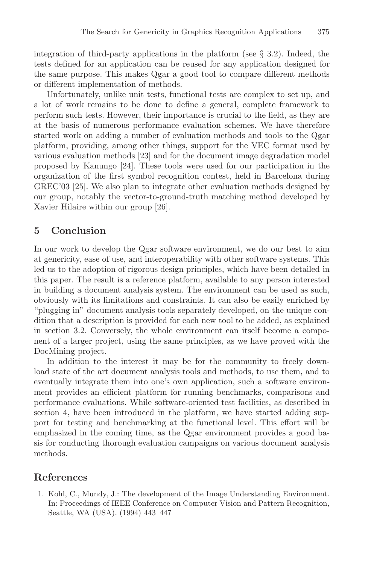integration of third-party applications in the platform (see *§* 3.2). Indeed, the tests defined for an application can be reused for any application designed for the same purpose. This makes Qgar a good tool to compare different methods or different implementation of methods.

Unfortunately, unlike unit tests, functional tests are complex to set up, and a lot of work remains to be done to define a general, complete framework to perform such tests. However, their importance is crucial to the field, as they are at the basis of numerous performance evaluation schemes. We have therefore started work on adding a number of evaluation methods and tools to the Qgar platform, providing, among other things, support for the VEC format used by various evaluation methods [23] and for the document image degradation model proposed by Kanungo [24]. These tools were used for our participation in the organization of the first symbol recognition contest, held in Barcelona during GREC'03 [25]. We also plan to integrate other evaluation methods designed by our group, notably the vector-to-ground-truth matching method developed by Xavier Hilaire within our group [26].

### **5 Conclusion**

In our work to develop the Qgar software environment, we do our best to aim at genericity, ease of use, and interoperability with other software systems. This led us to the adoption of rigorous design principles, which have been detailed in this paper. The result is a reference platform, available to any person interested in building a document analysis system. The environment can be used as such, obviously with its limitations and constraints. It can also be easily enriched by "plugging in" document analysis tools separately developed, on the unique condition that a description is provided for each new tool to be added, as explained in section 3.2. Conversely, the whole environment can itself become a component of a larger project, using the same principles, as we have proved with the DocMining project.

In addition to the interest it may be for the community to freely download state of the art document analysis tools and methods, to use them, and to eventually integrate them into one's own application, such a software environment provides an efficient platform for running benchmarks, comparisons and performance evaluations. While software-oriented test facilities, as described in section 4, have been introduced in the platform, we have started adding support for testing and benchmarking at the functional level. This effort will be emphasized in the coming time, as the Qgar environment provides a good basis for conducting thorough evaluation campaigns on various document analysis methods.

### **References**

1. Kohl, C., Mundy, J.: The development of the Image Understanding Environment. In: Proceedings of IEEE Conference on Computer Vision and Pattern Recognition, Seattle, WA (USA). (1994) 443–447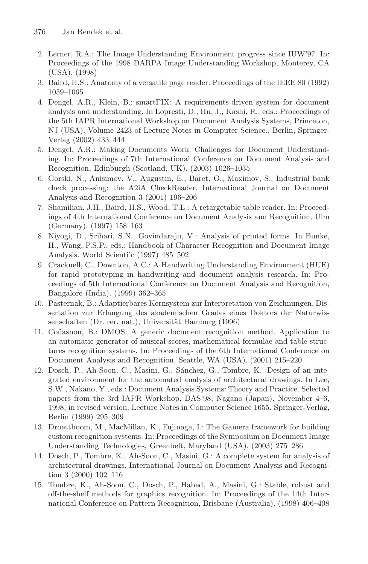- 2. Lerner, R.A.: The Image Understanding Environment progress since IUW'97. In: Proceedings of the 1998 DARPA Image Understanding Workshop, Monterey, CA (USA). (1998)
- 3. Baird, H.S.: Anatomy of a versatile page reader. Proceedings of the IEEE 80 (1992) 1059–1065
- 4. Dengel, A.R., Klein, B.: smartFIX: A requirements-driven system for document analysis and understanding. In Lopresti, D., Hu, J., Kashi, R., eds.: Proceedings of the 5th IAPR International Workshop on Document Analysis Systems, Princeton, NJ (USA). Volume 2423 of Lecture Notes in Computer Science., Berlin, Springer-Verlag (2002) 433–444
- 5. Dengel, A.R.: Making Documents Work: Challenges for Document Understanding. In: Proceedings of 7th International Conference on Document Analysis and Recognition, Edinburgh (Scotland, UK). (2003) 1026–1035
- 6. Gorski, N., Anisimov, V., Augustin, E., Baret, O., Maximov, S.: Industrial bank check processing: the A2iA CheckReader. International Journal on Document Analysis and Recognition 3 (2001) 196–206
- 7. Shamilian, J.H., Baird, H.S., Wood, T.L.: A retargetable table reader. In: Proceedings of 4th International Conference on Document Analysis and Recognition, Ulm (Germany). (1997) 158–163
- 8. Niyogi, D., Srihari, S.N., Govindaraju, V.: Analysis of printed forms. In Bunke, H., Wang, P.S.P., eds.: Handbook of Character Recognition and Document Image Analysis. World Scienti'c (1997) 485–502
- 9. Cracknell, C., Downton, A.C.: A Handwriting Understanding Environment (HUE) for rapid prototyping in handwriting and document analysis research. In: Proceedings of 5th International Conference on Document Analysis and Recognition, Bangalore (India). (1999) 362–365
- 10. Pasternak, B.: Adaptierbares Kernsystem zur Interpretation von Zeichnungen. Dissertation zur Erlangung des akademischen Grades eines Doktors der Naturwissenschaften (Dr. rer. nat.), Universität Hamburg (1996)
- 11. Coüasnon, B.: DMOS: A generic document recognition method. Application to an automatic generator of musical scores, mathematical formulae and table structures recognition systems. In: Proceedings of the 6th International Conference on Document Analysis and Recognition, Seattle, WA (USA). (2001) 215–220
- 12. Dosch, P., Ah-Soon, C., Masini, G., S´anchez, G., Tombre, K.: Design of an integrated environment for the automated analysis of architectural drawings. In Lee, S.W., Nakano, Y., eds.: Document Analysis Systems: Theory and Practice. Selected papers from the 3rd IAPR Workshop, DAS'98, Nagano (Japan), November 4–6, 1998, in revised version. Lecture Notes in Computer Science 1655. Springer-Verlag, Berlin (1999) 295–309
- 13. Droettboom, M., MacMillan, K., Fujinaga, I.: The Gamera framework for building custom recognition systems. In: Proceedings of the Symposium on Document Image Understanding Technologies, Greenbelt, Maryland (USA). (2003) 275–286
- 14. Dosch, P., Tombre, K., Ah-Soon, C., Masini, G.: A complete system for analysis of architectural drawings. International Journal on Document Analysis and Recognition 3 (2000) 102–116
- 15. Tombre, K., Ah-Soon, C., Dosch, P., Habed, A., Masini, G.: Stable, robust and off-the-shelf methods for graphics recognition. In: Proceedings of the 14th International Conference on Pattern Recognition, Brisbane (Australia). (1998) 406–408